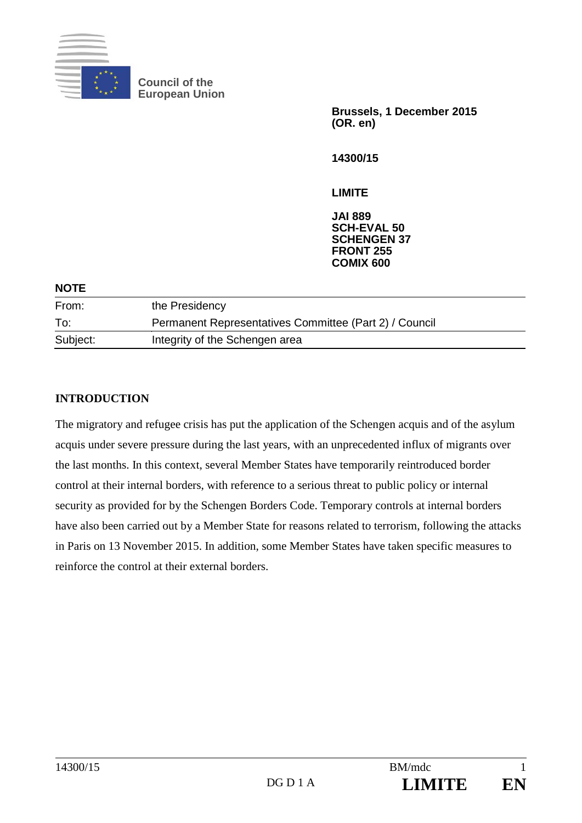

**Council of the European Union**

> **Brussels, 1 December 2015 (OR. en)**

**14300/15**

# **LIMITE**

**JAI 889 SCH-EVAL 50 SCHENGEN 37 FRONT 255 COMIX 600**

| <b>NOTE</b> |                                                        |  |
|-------------|--------------------------------------------------------|--|
| From:       | the Presidency                                         |  |
| To:         | Permanent Representatives Committee (Part 2) / Council |  |
| Subject:    | Integrity of the Schengen area                         |  |
|             |                                                        |  |

# **INTRODUCTION**

The migratory and refugee crisis has put the application of the Schengen acquis and of the asylum acquis under severe pressure during the last years, with an unprecedented influx of migrants over the last months. In this context, several Member States have temporarily reintroduced border control at their internal borders, with reference to a serious threat to public policy or internal security as provided for by the Schengen Borders Code. Temporary controls at internal borders have also been carried out by a Member State for reasons related to terrorism, following the attacks in Paris on 13 November 2015. In addition, some Member States have taken specific measures to reinforce the control at their external borders.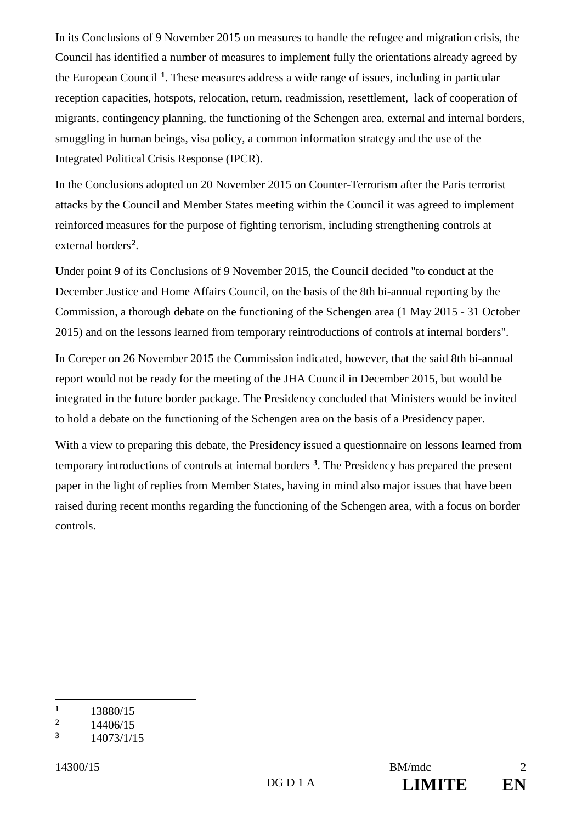In its Conclusions of 9 November 2015 on measures to handle the refugee and migration crisis, the Council has identified a number of measures to implement fully the orientations already agreed by the European Council **[1](#page-1-0)**. These measures address a wide range of issues, including in particular reception capacities, hotspots, relocation, return, readmission, resettlement, lack of cooperation of migrants, contingency planning, the functioning of the Schengen area, external and internal borders, smuggling in human beings, visa policy, a common information strategy and the use of the Integrated Political Crisis Response (IPCR).

In the Conclusions adopted on 20 November 2015 on Counter-Terrorism after the Paris terrorist attacks by the Council and Member States meeting within the Council it was agreed to implement reinforced measures for the purpose of fighting terrorism, including strengthening controls at external borders**[2](#page-1-1)**.

Under point 9 of its Conclusions of 9 November 2015, the Council decided "to conduct at the December Justice and Home Affairs Council, on the basis of the 8th bi-annual reporting by the Commission, a thorough debate on the functioning of the Schengen area (1 May 2015 - 31 October 2015) and on the lessons learned from temporary reintroductions of controls at internal borders".

In Coreper on 26 November 2015 the Commission indicated, however, that the said 8th bi-annual report would not be ready for the meeting of the JHA Council in December 2015, but would be integrated in the future border package. The Presidency concluded that Ministers would be invited to hold a debate on the functioning of the Schengen area on the basis of a Presidency paper.

With a view to preparing this debate, the Presidency issued a questionnaire on lessons learned from temporary introductions of controls at internal borders **[3](#page-1-2)**. The Presidency has prepared the present paper in the light of replies from Member States, having in mind also major issues that have been raised during recent months regarding the functioning of the Schengen area, with a focus on border controls.

<span id="page-1-0"></span> $\mathbf{1}$  $\frac{1}{2}$  13880/15<br>14406/15

<span id="page-1-1"></span> $\frac{2}{3}$  14406/15

<span id="page-1-2"></span>**<sup>3</sup>** 14073/1/15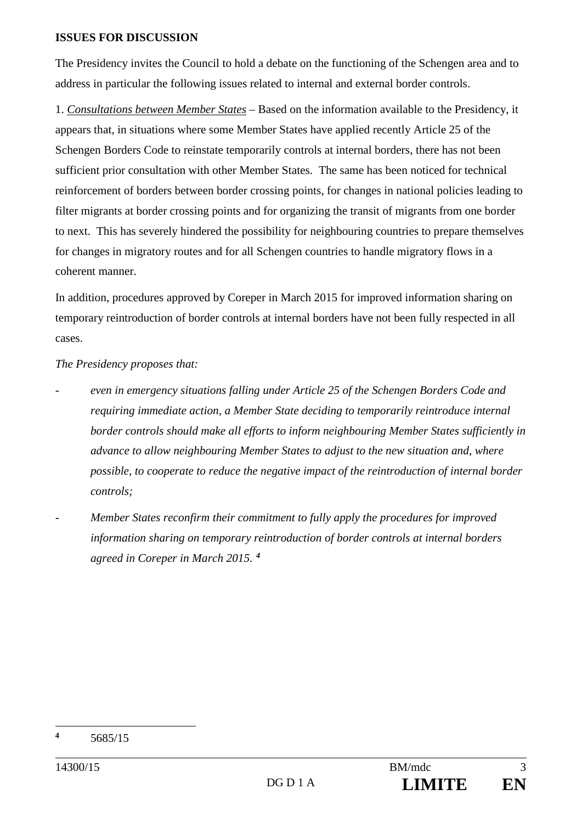### **ISSUES FOR DISCUSSION**

The Presidency invites the Council to hold a debate on the functioning of the Schengen area and to address in particular the following issues related to internal and external border controls.

1. *Consultations between Member States* – Based on the information available to the Presidency, it appears that, in situations where some Member States have applied recently Article 25 of the Schengen Borders Code to reinstate temporarily controls at internal borders, there has not been sufficient prior consultation with other Member States. The same has been noticed for technical reinforcement of borders between border crossing points, for changes in national policies leading to filter migrants at border crossing points and for organizing the transit of migrants from one border to next. This has severely hindered the possibility for neighbouring countries to prepare themselves for changes in migratory routes and for all Schengen countries to handle migratory flows in a coherent manner.

In addition, procedures approved by Coreper in March 2015 for improved information sharing on temporary reintroduction of border controls at internal borders have not been fully respected in all cases.

## *The Presidency proposes that:*

- *- even in emergency situations falling under Article 25 of the Schengen Borders Code and requiring immediate action, a Member State deciding to temporarily reintroduce internal border controls should make all efforts to inform neighbouring Member States sufficiently in advance to allow neighbouring Member States to adjust to the new situation and, where possible, to cooperate to reduce the negative impact of the reintroduction of internal border controls;*
- *- Member States reconfirm their commitment to fully apply the procedures for improved information sharing on temporary reintroduction of border controls at internal borders agreed in Coreper in March 2015. [4](#page-2-0)*

<span id="page-2-0"></span><sup>-</sup>**<sup>4</sup>** 5685/15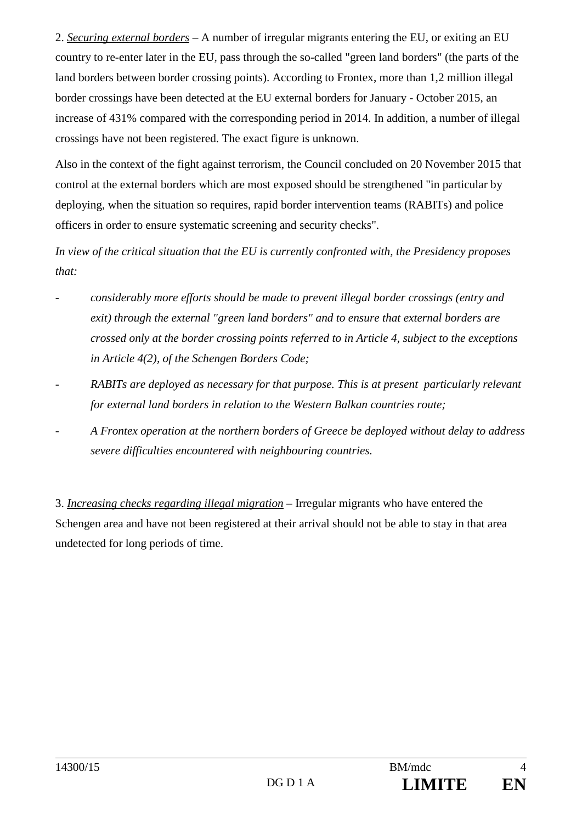2. *Securing external borders* – A number of irregular migrants entering the EU, or exiting an EU country to re-enter later in the EU, pass through the so-called "green land borders" (the parts of the land borders between border crossing points). According to Frontex, more than 1,2 million illegal border crossings have been detected at the EU external borders for January - October 2015, an increase of 431% compared with the corresponding period in 2014. In addition, a number of illegal crossings have not been registered. The exact figure is unknown.

Also in the context of the fight against terrorism, the Council concluded on 20 November 2015 that control at the external borders which are most exposed should be strengthened "in particular by deploying, when the situation so requires, rapid border intervention teams (RABITs) and police officers in order to ensure systematic screening and security checks".

*In view of the critical situation that the EU is currently confronted with, the Presidency proposes that:*

- *- considerably more efforts should be made to prevent illegal border crossings (entry and exit) through the external "green land borders" and to ensure that external borders are crossed only at the border crossing points referred to in Article 4, subject to the exceptions in Article 4(2), of the Schengen Borders Code;*
- *- RABITs are deployed as necessary for that purpose. This is at present particularly relevant for external land borders in relation to the Western Balkan countries route;*
- *- A Frontex operation at the northern borders of Greece be deployed without delay to address severe difficulties encountered with neighbouring countries.*

3. *Increasing checks regarding illegal migration* – Irregular migrants who have entered the Schengen area and have not been registered at their arrival should not be able to stay in that area undetected for long periods of time.